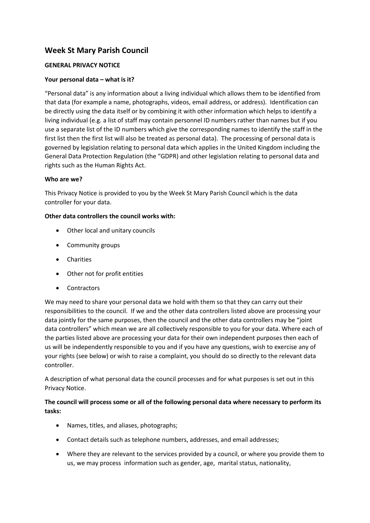# **Week St Mary Parish Council**

#### **GENERAL PRIVACY NOTICE**

#### **Your personal data – what is it?**

"Personal data" is any information about a living individual which allows them to be identified from that data (for example a name, photographs, videos, email address, or address). Identification can be directly using the data itself or by combining it with other information which helps to identify a living individual (e.g. a list of staff may contain personnel ID numbers rather than names but if you use a separate list of the ID numbers which give the corresponding names to identify the staff in the first list then the first list will also be treated as personal data). The processing of personal data is governed by legislation relating to personal data which applies in the United Kingdom including the General Data Protection Regulation (the "GDPR) and other legislation relating to personal data and rights such as the Human Rights Act.

#### **Who are we?**

This Privacy Notice is provided to you by the Week St Mary Parish Council which is the data controller for your data.

#### **Other data controllers the council works with:**

- Other local and unitary councils
- Community groups
- Charities
- Other not for profit entities
- **Contractors**

We may need to share your personal data we hold with them so that they can carry out their responsibilities to the council. If we and the other data controllers listed above are processing your data jointly for the same purposes, then the council and the other data controllers may be "joint data controllers" which mean we are all collectively responsible to you for your data. Where each of the parties listed above are processing your data for their own independent purposes then each of us will be independently responsible to you and if you have any questions, wish to exercise any of your rights (see below) or wish to raise a complaint, you should do so directly to the relevant data controller.

A description of what personal data the council processes and for what purposes is set out in this Privacy Notice.

# **The council will process some or all of the following personal data where necessary to perform its tasks:**

- Names, titles, and aliases, photographs;
- Contact details such as telephone numbers, addresses, and email addresses;
- Where they are relevant to the services provided by a council, or where you provide them to us, we may process information such as gender, age, marital status, nationality,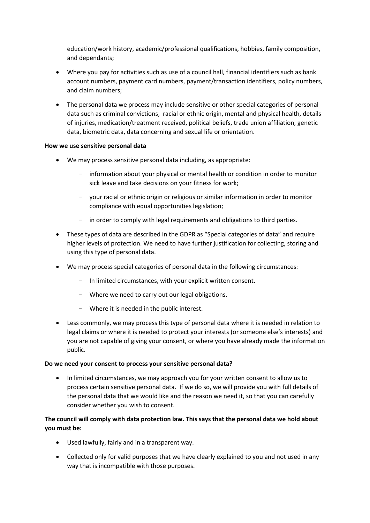education/work history, academic/professional qualifications, hobbies, family composition, and dependants;

- Where you pay for activities such as use of a council hall, financial identifiers such as bank account numbers, payment card numbers, payment/transaction identifiers, policy numbers, and claim numbers;
- The personal data we process may include sensitive or other special categories of personal data such as criminal convictions, racial or ethnic origin, mental and physical health, details of injuries, medication/treatment received, political beliefs, trade union affiliation, genetic data, biometric data, data concerning and sexual life or orientation.

#### **How we use sensitive personal data**

- We may process sensitive personal data including, as appropriate:
	- information about your physical or mental health or condition in order to monitor sick leave and take decisions on your fitness for work;
	- your racial or ethnic origin or religious or similar information in order to monitor compliance with equal opportunities legislation;
	- in order to comply with legal requirements and obligations to third parties.
- These types of data are described in the GDPR as "Special categories of data" and require higher levels of protection. We need to have further justification for collecting, storing and using this type of personal data.
- We may process special categories of personal data in the following circumstances:
	- In limited circumstances, with your explicit written consent.
	- Where we need to carry out our legal obligations.
	- Where it is needed in the public interest.
- Less commonly, we may process this type of personal data where it is needed in relation to legal claims or where it is needed to protect your interests (or someone else's interests) and you are not capable of giving your consent, or where you have already made the information public.

#### **Do we need your consent to process your sensitive personal data?**

• In limited circumstances, we may approach you for your written consent to allow us to process certain sensitive personal data. If we do so, we will provide you with full details of the personal data that we would like and the reason we need it, so that you can carefully consider whether you wish to consent.

### **The council will comply with data protection law. This says that the personal data we hold about you must be:**

- Used lawfully, fairly and in a transparent way.
- Collected only for valid purposes that we have clearly explained to you and not used in any way that is incompatible with those purposes.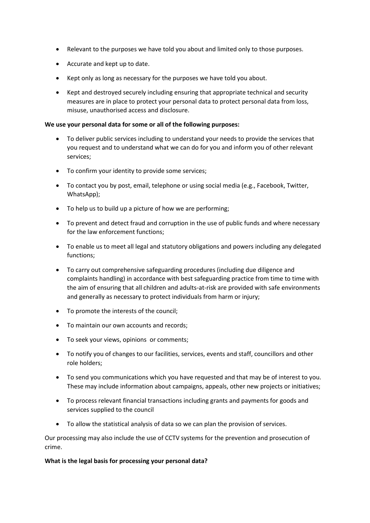- Relevant to the purposes we have told you about and limited only to those purposes.
- Accurate and kept up to date.
- Kept only as long as necessary for the purposes we have told you about.
- Kept and destroyed securely including ensuring that appropriate technical and security measures are in place to protect your personal data to protect personal data from loss, misuse, unauthorised access and disclosure.

#### **We use your personal data for some or all of the following purposes:**

- To deliver public services including to understand your needs to provide the services that you request and to understand what we can do for you and inform you of other relevant services;
- To confirm your identity to provide some services;
- To contact you by post, email, telephone or using social media (e.g., Facebook, Twitter, WhatsApp);
- To help us to build up a picture of how we are performing;
- To prevent and detect fraud and corruption in the use of public funds and where necessary for the law enforcement functions;
- To enable us to meet all legal and statutory obligations and powers including any delegated functions;
- To carry out comprehensive safeguarding procedures (including due diligence and complaints handling) in accordance with best safeguarding practice from time to time with the aim of ensuring that all children and adults-at-risk are provided with safe environments and generally as necessary to protect individuals from harm or injury;
- To promote the interests of the council;
- To maintain our own accounts and records;
- To seek your views, opinions or comments;
- To notify you of changes to our facilities, services, events and staff, councillors and other role holders;
- To send you communications which you have requested and that may be of interest to you. These may include information about campaigns, appeals, other new projects or initiatives;
- To process relevant financial transactions including grants and payments for goods and services supplied to the council
- To allow the statistical analysis of data so we can plan the provision of services.

Our processing may also include the use of CCTV systems for the prevention and prosecution of crime.

#### **What is the legal basis for processing your personal data?**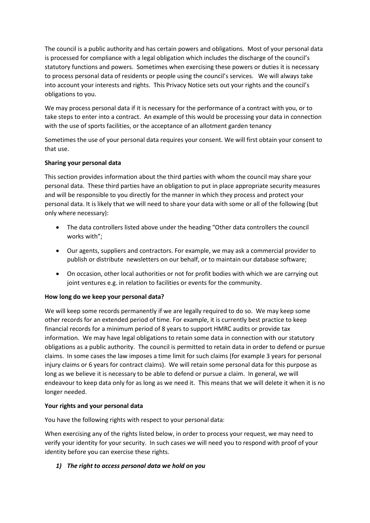The council is a public authority and has certain powers and obligations. Most of your personal data is processed for compliance with a legal obligation which includes the discharge of the council's statutory functions and powers. Sometimes when exercising these powers or duties it is necessary to process personal data of residents or people using the council's services. We will always take into account your interests and rights. This Privacy Notice sets out your rights and the council's obligations to you.

We may process personal data if it is necessary for the performance of a contract with you, or to take steps to enter into a contract. An example of this would be processing your data in connection with the use of sports facilities, or the acceptance of an allotment garden tenancy

Sometimes the use of your personal data requires your consent. We will first obtain your consent to that use.

### **Sharing your personal data**

This section provides information about the third parties with whom the council may share your personal data. These third parties have an obligation to put in place appropriate security measures and will be responsible to you directly for the manner in which they process and protect your personal data. It is likely that we will need to share your data with some or all of the following (but only where necessary):

- The data controllers listed above under the heading "Other data controllers the council works with";
- Our agents, suppliers and contractors. For example, we may ask a commercial provider to publish or distribute newsletters on our behalf, or to maintain our database software;
- On occasion, other local authorities or not for profit bodies with which we are carrying out joint ventures e.g. in relation to facilities or events for the community.

### **How long do we keep your personal data?**

We will keep some records permanently if we are legally required to do so. We may keep some other records for an extended period of time. For example, it is currently best practice to keep financial records for a minimum period of 8 years to support HMRC audits or provide tax information. We may have legal obligations to retain some data in connection with our statutory obligations as a public authority. The council is permitted to retain data in order to defend or pursue claims. In some cases the law imposes a time limit for such claims (for example 3 years for personal injury claims or 6 years for contract claims). We will retain some personal data for this purpose as long as we believe it is necessary to be able to defend or pursue a claim. In general, we will endeavour to keep data only for as long as we need it. This means that we will delete it when it is no longer needed.

### **Your rights and your personal data**

You have the following rights with respect to your personal data:

When exercising any of the rights listed below, in order to process your request, we may need to verify your identity for your security. In such cases we will need you to respond with proof of your identity before you can exercise these rights.

### *1) The right to access personal data we hold on you*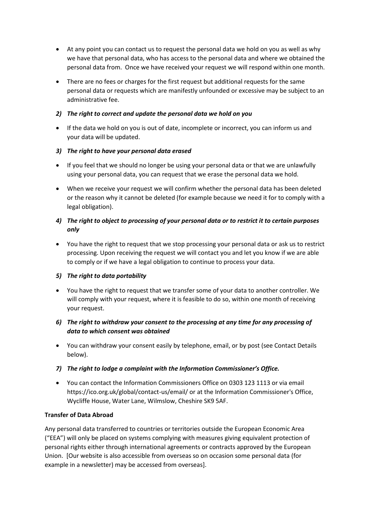- At any point you can contact us to request the personal data we hold on you as well as why we have that personal data, who has access to the personal data and where we obtained the personal data from. Once we have received your request we will respond within one month.
- There are no fees or charges for the first request but additional requests for the same personal data or requests which are manifestly unfounded or excessive may be subject to an administrative fee.

### *2) The right to correct and update the personal data we hold on you*

• If the data we hold on you is out of date, incomplete or incorrect, you can inform us and your data will be updated.

### *3) The right to have your personal data erased*

- If you feel that we should no longer be using your personal data or that we are unlawfully using your personal data, you can request that we erase the personal data we hold.
- When we receive your request we will confirm whether the personal data has been deleted or the reason why it cannot be deleted (for example because we need it for to comply with a legal obligation).

# *4) The right to object to processing of your personal data or to restrict it to certain purposes only*

• You have the right to request that we stop processing your personal data or ask us to restrict processing. Upon receiving the request we will contact you and let you know if we are able to comply or if we have a legal obligation to continue to process your data.

### *5) The right to data portability*

• You have the right to request that we transfer some of your data to another controller. We will comply with your request, where it is feasible to do so, within one month of receiving your request.

# *6) The right to withdraw your consent to the processing at any time for any processing of data to which consent was obtained*

- You can withdraw your consent easily by telephone, email, or by post (see Contact Details below).
- *7) The right to lodge a complaint with the Information Commissioner's Office.*
- You can contact the Information Commissioners Office on 0303 123 1113 or via email https://ico.org.uk/global/contact-us/email/ or at the Information Commissioner's Office, Wycliffe House, Water Lane, Wilmslow, Cheshire SK9 5AF.

### **Transfer of Data Abroad**

Any personal data transferred to countries or territories outside the European Economic Area ("EEA") will only be placed on systems complying with measures giving equivalent protection of personal rights either through international agreements or contracts approved by the European Union. [Our website is also accessible from overseas so on occasion some personal data (for example in a newsletter) may be accessed from overseas].